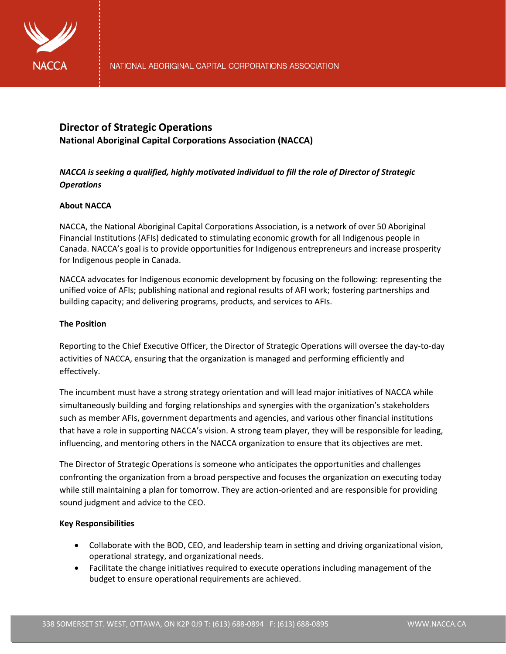

# **Director of Strategic Operations National Aboriginal Capital Corporations Association (NACCA)**

## *NACCA is seeking a qualified, highly motivated individual to fill the role of Director of Strategic Operations*

## **About NACCA**

NACCA, the National Aboriginal Capital Corporations Association, is a network of over 50 Aboriginal Financial Institutions (AFIs) dedicated to stimulating economic growth for all Indigenous people in Canada. NACCA's goal is to provide opportunities for Indigenous entrepreneurs and increase prosperity for Indigenous people in Canada.

NACCA advocates for Indigenous economic development by focusing on the following: representing the unified voice of AFIs; publishing national and regional results of AFI work; fostering partnerships and building capacity; and delivering programs, products, and services to AFIs.

### **The Position**

Reporting to the Chief Executive Officer, the Director of Strategic Operations will oversee the day-to-day activities of NACCA, ensuring that the organization is managed and performing efficiently and effectively.

The incumbent must have a strong strategy orientation and will lead major initiatives of NACCA while simultaneously building and forging relationships and synergies with the organization's stakeholders such as member AFIs, government departments and agencies, and various other financial institutions that have a role in supporting NACCA's vision. A strong team player, they will be responsible for leading, influencing, and mentoring others in the NACCA organization to ensure that its objectives are met.

The Director of Strategic Operations is someone who anticipates the opportunities and challenges confronting the organization from a broad perspective and focuses the organization on executing today while still maintaining a plan for tomorrow. They are action-oriented and are responsible for providing sound judgment and advice to the CEO.

#### **Key Responsibilities**

- Collaborate with the BOD, CEO, and leadership team in setting and driving organizational vision, operational strategy, and organizational needs.
- Facilitate the change initiatives required to execute operations including management of the budget to ensure operational requirements are achieved.